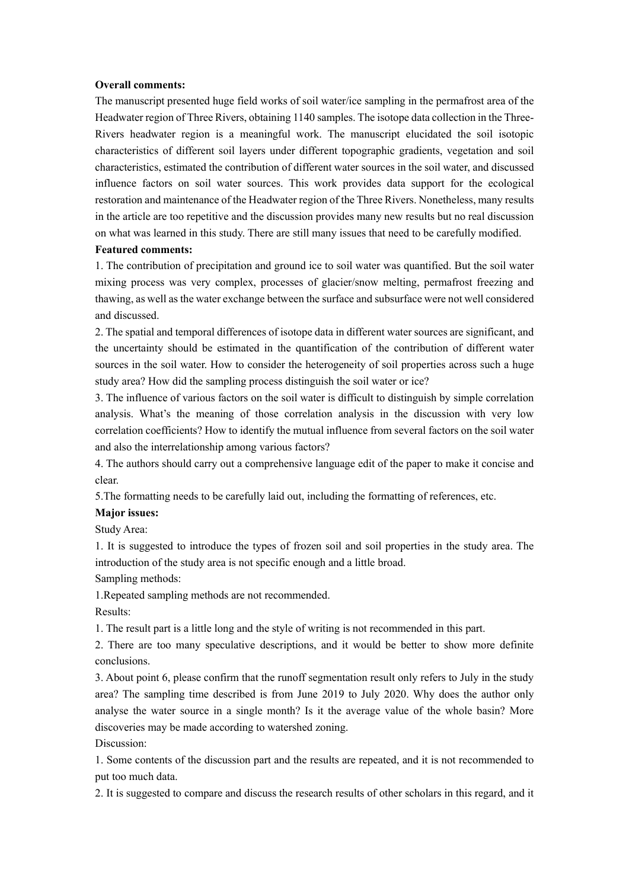#### **Overall comments:**

The manuscript presented huge field works of soil water/ice sampling in the permafrost area of the Headwater region of Three Rivers, obtaining 1140 samples. The isotope data collection in the Three-Rivers headwater region is a meaningful work. The manuscript elucidated the soil isotopic characteristics of different soil layers under different topographic gradients, vegetation and soil characteristics, estimated the contribution of different water sources in the soil water, and discussed influence factors on soil water sources. This work provides data support for the ecological restoration and maintenance of the Headwater region of the Three Rivers. Nonetheless, many results in the article are too repetitive and the discussion provides many new results but no real discussion on what was learned in this study. There are still many issues that need to be carefully modified.

### **Featured comments:**

1. The contribution of precipitation and ground ice to soil water was quantified. But the soil water mixing process was very complex, processes of glacier/snow melting, permafrost freezing and thawing, as well as the water exchange between the surface and subsurface were not well considered and discussed.

2. The spatial and temporal differences of isotope data in different water sources are significant, and the uncertainty should be estimated in the quantification of the contribution of different water sources in the soil water. How to consider the heterogeneity of soil properties across such a huge study area? How did the sampling process distinguish the soil water or ice?

3. The influence of various factors on the soil water is difficult to distinguish by simple correlation analysis. What's the meaning of those correlation analysis in the discussion with very low correlation coefficients? How to identify the mutual influence from several factors on the soil water and also the interrelationship among various factors?

4. The authors should carry out a comprehensive language edit of the paper to make it concise and clear.

5.The formatting needs to be carefully laid out, including the formatting of references, etc.

### **Major issues:**

Study Area:

1. It is suggested to introduce the types of frozen soil and soil properties in the study area. The introduction of the study area is not specific enough and a little broad.

Sampling methods:

1.Repeated sampling methods are not recommended.

Results:

1. The result part is a little long and the style of writing is not recommended in this part.

2. There are too many speculative descriptions, and it would be better to show more definite conclusions.

3. About point 6, please confirm that the runoff segmentation result only refers to July in the study area? The sampling time described is from June 2019 to July 2020. Why does the author only analyse the water source in a single month? Is it the average value of the whole basin? More discoveries may be made according to watershed zoning.

Discussion:

1. Some contents of the discussion part and the results are repeated, and it is not recommended to put too much data.

2. It is suggested to compare and discuss the research results of other scholars in this regard, and it